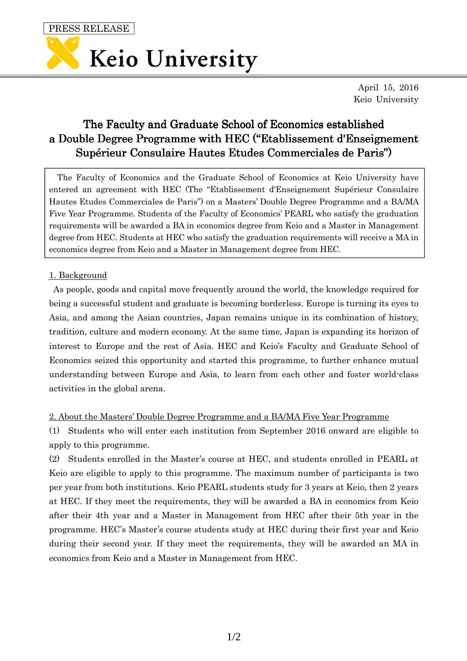PRESS RELEASE



April 15, 2016 Keio University

# The Faculty and Graduate School of Economics established a Double Degree Programme with HEC ("Etablissement d'Enseignement Supérieur Consulaire Hautes Etudes Commerciales de Paris")

The Faculty of Economics and the Graduate School of Economics at Keio University have entered an agreement with HEC (The "Etablissement d'Enseignement Supérieur Consulaire Hautes Etudes Commerciales de Paris") on a Masters' Double Degree Programme and a BA/MA Five Year Programme. Students of the Faculty of Economics' PEARL who satisfy the graduation requirements will be awarded a BA in economics degree from Keio and a Master in Management degree from HEC. Students at HEC who satisfy the graduation requirements will receive a MA in economics degree from Keio and a Master in Management degree from HEC.

# 1. Background

As people, goods and capital move frequently around the world, the knowledge required for being a successful student and graduate is becoming borderless. Europe is turning its eyes to Asia, and among the Asian countries, Japan remains unique in its combination of history, tradition, culture and modern economy. At the same time, Japan is expanding its horizon of interest to Europe and the rest of Asia. HEC and Keio's Faculty and Graduate School of Economics seized this opportunity and started this programme, to further enhance mutual understanding between Europe and Asia, to learn from each other and foster world-class activities in the global arena.

2. About the Masters' Double Degree Programme and a BA/MA Five Year Programme

(1) Students who will enter each institution from September 2016 onward are eligible to apply to this programme.

(2) Students enrolled in the Master's course at HEC, and students enrolled in PEARL at Keio are eligible to apply to this programme. The maximum number of participants is two per year from both institutions. Keio PEARL students study for 3 years at Keio, then 2 years at HEC. If they meet the requirements, they will be awarded a BA in economics from Keio after their 4th year and a Master in Management from HEC after their 5th year in the programme. HEC's Master's course students study at HEC during their first year and Keio during their second year. If they meet the requirements, they will be awarded an MA in economics from Keio and a Master in Management from HEC.